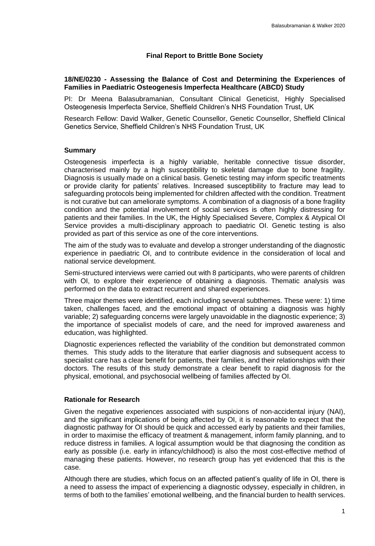# **Final Report to Brittle Bone Society**

### **18/NE/0230 - Assessing the Balance of Cost and Determining the Experiences of Families in Paediatric Osteogenesis Imperfecta Healthcare (ABCD) Study**

PI: Dr Meena Balasubramanian, Consultant Clinical Geneticist, Highly Specialised Osteogenesis Imperfecta Service, Sheffield Children's NHS Foundation Trust, UK

Research Fellow: David Walker, Genetic Counsellor, Genetic Counsellor, Sheffield Clinical Genetics Service, Sheffield Children's NHS Foundation Trust, UK

### **Summary**

Osteogenesis imperfecta is a highly variable, heritable connective tissue disorder, characterised mainly by a high susceptibility to skeletal damage due to bone fragility. Diagnosis is usually made on a clinical basis. Genetic testing may inform specific treatments or provide clarity for patients' relatives. Increased susceptibility to fracture may lead to safeguarding protocols being implemented for children affected with the condition. Treatment is not curative but can ameliorate symptoms. A combination of a diagnosis of a bone fragility condition and the potential involvement of social services is often highly distressing for patients and their families. In the UK, the Highly Specialised Severe, Complex & Atypical OI Service provides a multi-disciplinary approach to paediatric OI. Genetic testing is also provided as part of this service as one of the core interventions.

The aim of the study was to evaluate and develop a stronger understanding of the diagnostic experience in paediatric OI, and to contribute evidence in the consideration of local and national service development.

Semi-structured interviews were carried out with 8 participants, who were parents of children with OI, to explore their experience of obtaining a diagnosis. Thematic analysis was performed on the data to extract recurrent and shared experiences.

Three major themes were identified, each including several subthemes. These were: 1) time taken, challenges faced, and the emotional impact of obtaining a diagnosis was highly variable; 2) safeguarding concerns were largely unavoidable in the diagnostic experience; 3) the importance of specialist models of care, and the need for improved awareness and education, was highlighted.

Diagnostic experiences reflected the variability of the condition but demonstrated common themes. This study adds to the literature that earlier diagnosis and subsequent access to specialist care has a clear benefit for patients, their families, and their relationships with their doctors. The results of this study demonstrate a clear benefit to rapid diagnosis for the physical, emotional, and psychosocial wellbeing of families affected by OI.

### **Rationale for Research**

Given the negative experiences associated with suspicions of non-accidental injury (NAI), and the significant implications of being affected by OI, it is reasonable to expect that the diagnostic pathway for OI should be quick and accessed early by patients and their families, in order to maximise the efficacy of treatment & management, inform family planning, and to reduce distress in families. A logical assumption would be that diagnosing the condition as early as possible (i.e. early in infancy/childhood) is also the most cost-effective method of managing these patients. However, no research group has yet evidenced that this is the case.

Although there are studies, which focus on an affected patient's quality of life in OI, there is a need to assess the impact of experiencing a diagnostic odyssey, especially in children, in terms of both to the families' emotional wellbeing, and the financial burden to health services.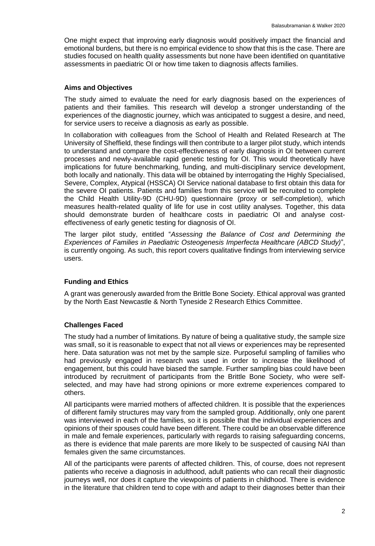One might expect that improving early diagnosis would positively impact the financial and emotional burdens, but there is no empirical evidence to show that this is the case. There are studies focused on health quality assessments but none have been identified on quantitative assessments in paediatric OI or how time taken to diagnosis affects families.

### **Aims and Objectives**

The study aimed to evaluate the need for early diagnosis based on the experiences of patients and their families. This research will develop a stronger understanding of the experiences of the diagnostic journey, which was anticipated to suggest a desire, and need, for service users to receive a diagnosis as early as possible.

In collaboration with colleagues from the School of Health and Related Research at The University of Sheffield, these findings will then contribute to a larger pilot study, which intends to understand and compare the cost-effectiveness of early diagnosis in OI between current processes and newly-available rapid genetic testing for OI. This would theoretically have implications for future benchmarking, funding, and multi-disciplinary service development, both locally and nationally. This data will be obtained by interrogating the Highly Specialised, Severe, Complex, Atypical (HSSCA) OI Service national database to first obtain this data for the severe OI patients. Patients and families from this service will be recruited to complete the Child Health Utility-9D (CHU-9D) questionnaire (proxy or self-completion), which measures health-related quality of life for use in cost utility analyses. Together, this data should demonstrate burden of healthcare costs in paediatric OI and analyse costeffectiveness of early genetic testing for diagnosis of OI.

The larger pilot study, entitled "*Assessing the Balance of Cost and Determining the Experiences of Families in Paediatric Osteogenesis Imperfecta Healthcare (ABCD Study)*", is currently ongoing. As such, this report covers qualitative findings from interviewing service users.

## **Funding and Ethics**

A grant was generously awarded from the Brittle Bone Society. Ethical approval was granted by the North East Newcastle & North Tyneside 2 Research Ethics Committee.

### **Challenges Faced**

The study had a number of limitations. By nature of being a qualitative study, the sample size was small, so it is reasonable to expect that not all views or experiences may be represented here. Data saturation was not met by the sample size. Purposeful sampling of families who had previously engaged in research was used in order to increase the likelihood of engagement, but this could have biased the sample. Further sampling bias could have been introduced by recruitment of participants from the Brittle Bone Society, who were selfselected, and may have had strong opinions or more extreme experiences compared to others.

All participants were married mothers of affected children. It is possible that the experiences of different family structures may vary from the sampled group. Additionally, only one parent was interviewed in each of the families, so it is possible that the individual experiences and opinions of their spouses could have been different. There could be an observable difference in male and female experiences, particularly with regards to raising safeguarding concerns, as there is evidence that male parents are more likely to be suspected of causing NAI than females given the same circumstances.

All of the participants were parents of affected children. This, of course, does not represent patients who receive a diagnosis in adulthood, adult patients who can recall their diagnostic journeys well, nor does it capture the viewpoints of patients in childhood. There is evidence in the literature that children tend to cope with and adapt to their diagnoses better than their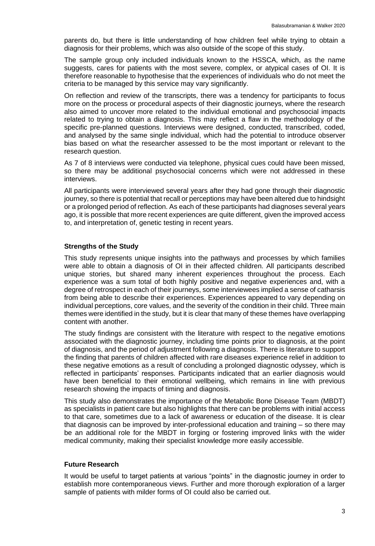parents do, but there is little understanding of how children feel while trying to obtain a diagnosis for their problems, which was also outside of the scope of this study.

The sample group only included individuals known to the HSSCA, which, as the name suggests, cares for patients with the most severe, complex, or atypical cases of OI. It is therefore reasonable to hypothesise that the experiences of individuals who do not meet the criteria to be managed by this service may vary significantly.

On reflection and review of the transcripts, there was a tendency for participants to focus more on the process or procedural aspects of their diagnostic journeys, where the research also aimed to uncover more related to the individual emotional and psychosocial impacts related to trying to obtain a diagnosis. This may reflect a flaw in the methodology of the specific pre-planned questions. Interviews were designed, conducted, transcribed, coded, and analysed by the same single individual, which had the potential to introduce observer bias based on what the researcher assessed to be the most important or relevant to the research question.

As 7 of 8 interviews were conducted via telephone, physical cues could have been missed, so there may be additional psychosocial concerns which were not addressed in these interviews.

All participants were interviewed several years after they had gone through their diagnostic journey, so there is potential that recall or perceptions may have been altered due to hindsight or a prolonged period of reflection. As each of these participants had diagnoses several years ago, it is possible that more recent experiences are quite different, given the improved access to, and interpretation of, genetic testing in recent years.

## **Strengths of the Study**

This study represents unique insights into the pathways and processes by which families were able to obtain a diagnosis of OI in their affected children. All participants described unique stories, but shared many inherent experiences throughout the process. Each experience was a sum total of both highly positive and negative experiences and, with a degree of retrospect in each of their journeys, some interviewees implied a sense of catharsis from being able to describe their experiences. Experiences appeared to vary depending on individual perceptions, core values, and the severity of the condition in their child. Three main themes were identified in the study, but it is clear that many of these themes have overlapping content with another.

The study findings are consistent with the literature with respect to the negative emotions associated with the diagnostic journey, including time points prior to diagnosis, at the point of diagnosis, and the period of adjustment following a diagnosis. There is literature to support the finding that parents of children affected with rare diseases experience relief in addition to these negative emotions as a result of concluding a prolonged diagnostic odyssey, which is reflected in participants' responses. Participants indicated that an earlier diagnosis would have been beneficial to their emotional wellbeing, which remains in line with previous research showing the impacts of timing and diagnosis.

This study also demonstrates the importance of the Metabolic Bone Disease Team (MBDT) as specialists in patient care but also highlights that there can be problems with initial access to that care, sometimes due to a lack of awareness or education of the disease. It is clear that diagnosis can be improved by inter-professional education and training – so there may be an additional role for the MBDT in forging or fostering improved links with the wider medical community, making their specialist knowledge more easily accessible.

### **Future Research**

It would be useful to target patients at various "points" in the diagnostic journey in order to establish more contemporaneous views. Further and more thorough exploration of a larger sample of patients with milder forms of OI could also be carried out.